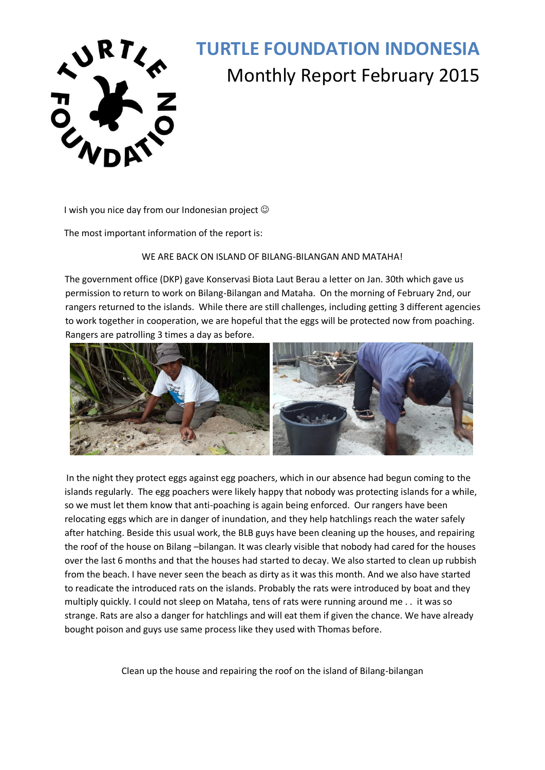

# **TURTLE FOUNDATION INDONESIA**  Monthly Report February 2015

I wish you nice day from our Indonesian project  $\odot$ 

The most important information of the report is:

#### WE ARE BACK ON ISLAND OF BILANG-BILANGAN AND MATAHA!

The government office (DKP) gave Konservasi Biota Laut Berau a letter on Jan. 30th which gave us permission to return to work on Bilang-Bilangan and Mataha. On the morning of February 2nd, our rangers returned to the islands. While there are still challenges, including getting 3 different agencies to work together in cooperation, we are hopeful that the eggs will be protected now from poaching. Rangers are patrolling 3 times a day as before.



In the night they protect eggs against egg poachers, which in our absence had begun coming to the islands regularly. The egg poachers were likely happy that nobody was protecting islands for a while, so we must let them know that anti-poaching is again being enforced. Our rangers have been relocating eggs which are in danger of inundation, and they help hatchlings reach the water safely after hatching. Beside this usual work, the BLB guys have been cleaning up the houses, and repairing the roof of the house on Bilang –bilangan. It was clearly visible that nobody had cared for the houses over the last 6 months and that the houses had started to decay. We also started to clean up rubbish from the beach. I have never seen the beach as dirty as it was this month. And we also have started to readicate the introduced rats on the islands. Probably the rats were introduced by boat and they multiply quickly. I could not sleep on Mataha, tens of rats were running around me . . it was so strange. Rats are also a danger for hatchlings and will eat them if given the chance. We have already bought poison and guys use same process like they used with Thomas before.

Clean up the house and repairing the roof on the island of Bilang-bilangan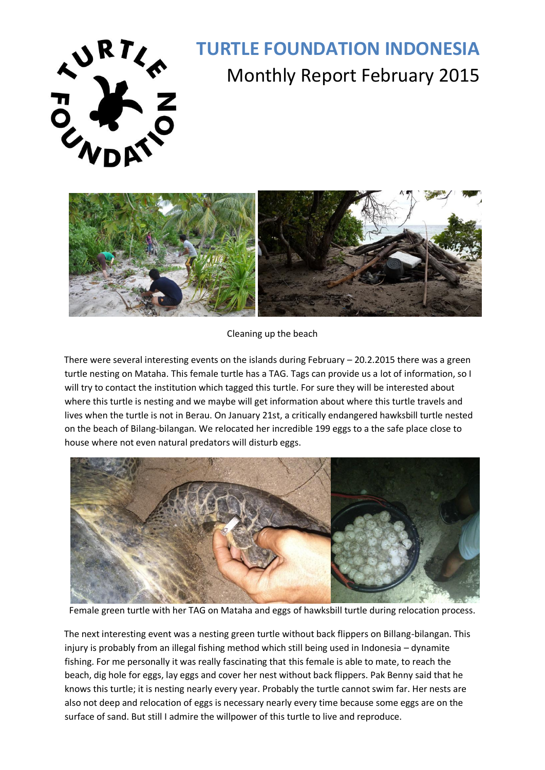

# **TURTLE FOUNDATION INDONESIA**  Monthly Report February 2015



Cleaning up the beach

There were several interesting events on the islands during February – 20.2.2015 there was a green turtle nesting on Mataha. This female turtle has a TAG. Tags can provide us a lot of information, so I will try to contact the institution which tagged this turtle. For sure they will be interested about where this turtle is nesting and we maybe will get information about where this turtle travels and lives when the turtle is not in Berau. On January 21st, a critically endangered hawksbill turtle nested on the beach of Bilang-bilangan. We relocated her incredible 199 eggs to a the safe place close to house where not even natural predators will disturb eggs.



Female green turtle with her TAG on Mataha and eggs of hawksbill turtle during relocation process.

The next interesting event was a nesting green turtle without back flippers on Billang-bilangan. This injury is probably from an illegal fishing method which still being used in Indonesia – dynamite fishing. For me personally it was really fascinating that this female is able to mate, to reach the beach, dig hole for eggs, lay eggs and cover her nest without back flippers. Pak Benny said that he knows this turtle; it is nesting nearly every year. Probably the turtle cannot swim far. Her nests are also not deep and relocation of eggs is necessary nearly every time because some eggs are on the surface of sand. But still I admire the willpower of this turtle to live and reproduce.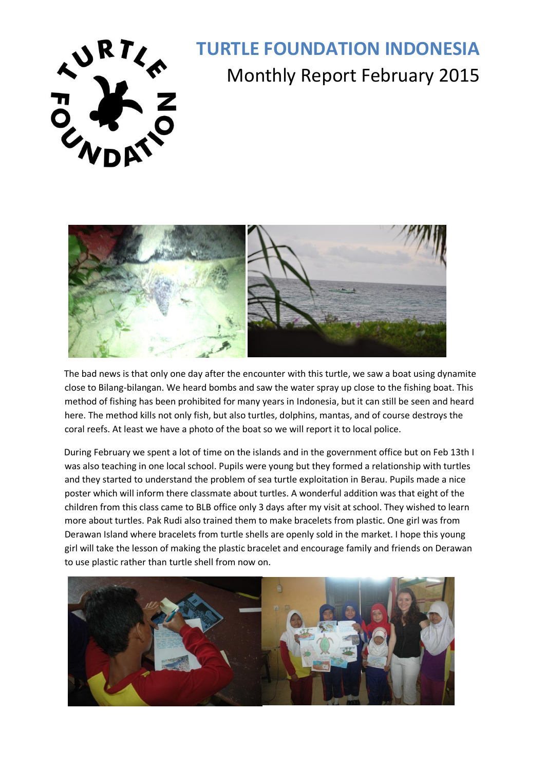

# **TURTLE FOUNDATION INDONESIA**  RT<sub><</sub> TURTLE FOUNDATION INDUNESIA



The bad news is that only one day after the encounter with this turtle, we saw a boat using dynamite close to Bilang-bilangan. We heard bombs and saw the water spray up close to the fishing boat. This method of fishing has been prohibited for many years in Indonesia, but it can still be seen and heard here. The method kills not only fish, but also turtles, dolphins, mantas, and of course destroys the coral reefs. At least we have a photo of the boat so we will report it to local police.

During February we spent a lot of time on the islands and in the government office but on Feb 13th I was also teaching in one local school. Pupils were young but they formed a relationship with turtles and they started to understand the problem of sea turtle exploitation in Berau. Pupils made a nice poster which will inform there classmate about turtles. A wonderful addition was that eight of the children from this class came to BLB office only 3 days after my visit at school. They wished to learn more about turtles. Pak Rudi also trained them to make bracelets from plastic. One girl was from Derawan Island where bracelets from turtle shells are openly sold in the market. I hope this young girl will take the lesson of making the plastic bracelet and encourage family and friends on Derawan to use plastic rather than turtle shell from now on.